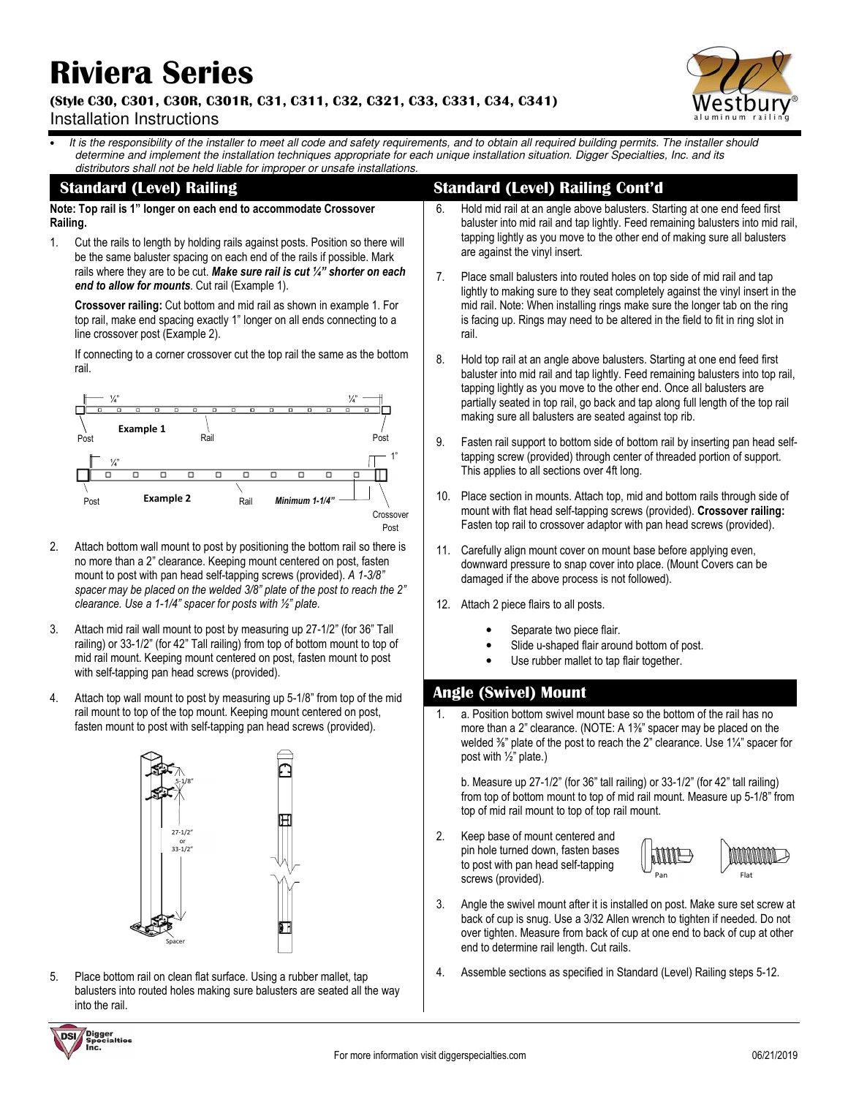# **Riviera Series**

#### **(Style C30, C301, C30R, C301R, C31, C311, C32, C321, C33, C331, C34, C341)**  Installation Instructions



It is the responsibility of the installer to meet all code and safety requirements, and to obtain all required building permits. The installer should determine and implement the installation techniques appropriate for each unique installation situation. Digger Specialties, Inc. and its distributors shall not be held liable for improper or unsafe installations.

## **Standard (Level) Railing**

**Note: Top rail is 1" longer on each end to accommodate Crossover Railing.** 

1. Cut the rails to length by holding rails against posts. Position so there will be the same baluster spacing on each end of the rails if possible. Mark rails where they are to be cut. *Make sure rail is cut ¼" shorter on each end to allow for mounts*. Cut rail (Example 1).

**Crossover railing:** Cut bottom and mid rail as shown in example 1. For top rail, make end spacing exactly 1" longer on all ends connecting to a line crossover post (Example 2).

If connecting to a corner crossover cut the top rail the same as the bottom rail.



- 2. Attach bottom wall mount to post by positioning the bottom rail so there is no more than a 2" clearance. Keeping mount centered on post, fasten mount to post with pan head self-tapping screws (provided). *A 1-3/8" spacer may be placed on the welded 3/8" plate of the post to reach the 2" clearance. Use a 1-1/4" spacer for posts with ½" plate.*
- 3. Attach mid rail wall mount to post by measuring up 27-1/2" (for 36" Tall railing) or 33-1/2" (for 42" Tall railing) from top of bottom mount to top of mid rail mount. Keeping mount centered on post, fasten mount to post with self-tapping pan head screws (provided).
- 4. Attach top wall mount to post by measuring up 5-1/8" from top of the mid rail mount to top of the top mount. Keeping mount centered on post, fasten mount to post with self-tapping pan head screws (provided).



5. Place bottom rail on clean flat surface. Using a rubber mallet, tap balusters into routed holes making sure balusters are seated all the way into the rail.

## **Standard (Level) Railing Cont'd**

- 6. Hold mid rail at an angle above balusters. Starting at one end feed first baluster into mid rail and tap lightly. Feed remaining balusters into mid rail, tapping lightly as you move to the other end of making sure all balusters are against the vinyl insert.
- 7. Place small balusters into routed holes on top side of mid rail and tap lightly to making sure to they seat completely against the vinyl insert in the mid rail. Note: When installing rings make sure the longer tab on the ring is facing up. Rings may need to be altered in the field to fit in ring slot in rail.
- 8. Hold top rail at an angle above balusters. Starting at one end feed first baluster into mid rail and tap lightly. Feed remaining balusters into top rail, tapping lightly as you move to the other end. Once all balusters are partially seated in top rail, go back and tap along full length of the top rail making sure all balusters are seated against top rib.
- 9. Fasten rail support to bottom side of bottom rail by inserting pan head selftapping screw (provided) through center of threaded portion of support. This applies to all sections over 4ft long.
- 10. Place section in mounts. Attach top, mid and bottom rails through side of mount with flat head self-tapping screws (provided). **Crossover railing:** Fasten top rail to crossover adaptor with pan head screws (provided).
- 11. Carefully align mount cover on mount base before applying even, downward pressure to snap cover into place. (Mount Covers can be damaged if the above process is not followed).
- 12. Attach 2 piece flairs to all posts.
	- Separate two piece flair.
	- Slide u-shaped flair around bottom of post.
	- Use rubber mallet to tap flair together.

# **Angle (Swivel) Mount**

1. a. Position bottom swivel mount base so the bottom of the rail has no more than a 2" clearance. (NOTE: A 1⅜" spacer may be placed on the welded <sup>3/4</sup>" plate of the post to reach the 2" clearance. Use 1<sup>1/4"</sup> spacer for post with ½" plate.)

b. Measure up 27-1/2" (for 36" tall railing) or 33-1/2" (for 42" tall railing) from top of bottom mount to top of mid rail mount. Measure up 5-1/8" from top of mid rail mount to top of top rail mount.

2. Keep base of mount centered and pin hole turned down, fasten bases to post with pan head self-tapping screws (provided).



- 3. Angle the swivel mount after it is installed on post. Make sure set screw at back of cup is snug. Use a 3/32 Allen wrench to tighten if needed. Do not over tighten. Measure from back of cup at one end to back of cup at other end to determine rail length. Cut rails.
- 4. Assemble sections as specified in Standard (Level) Railing steps 5-12.